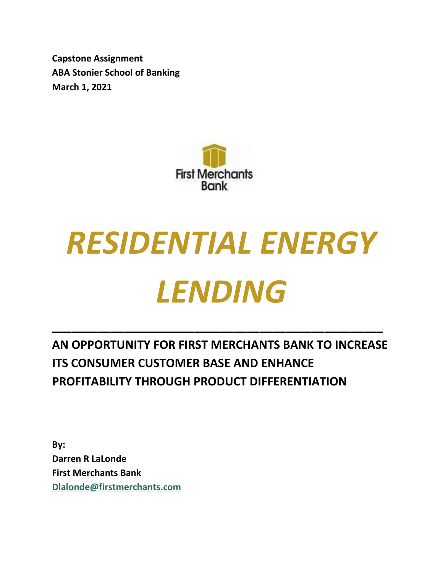**Capstone Assignment ABA Stonier School of Banking March 1, 2021**



# *RESIDENTIAL ENERGY LENDING*

**AN OPPORTUNITY FOR FIRST MERCHANTS BANK TO INCREASE ITS CONSUMER CUSTOMER BASE AND ENHANCE PROFITABILITY THROUGH PRODUCT DIFFERENTIATION**

**\_\_\_\_\_\_\_\_\_\_\_\_\_\_\_\_\_\_\_\_\_\_\_\_\_\_\_\_\_\_\_\_\_\_\_\_\_\_\_\_\_\_\_\_\_\_\_\_\_\_\_**

**By: Darren R LaLonde First Merchants Bank [Dlalonde@firstmerchants.com](mailto:Dlalonde@firstmerchants.com)**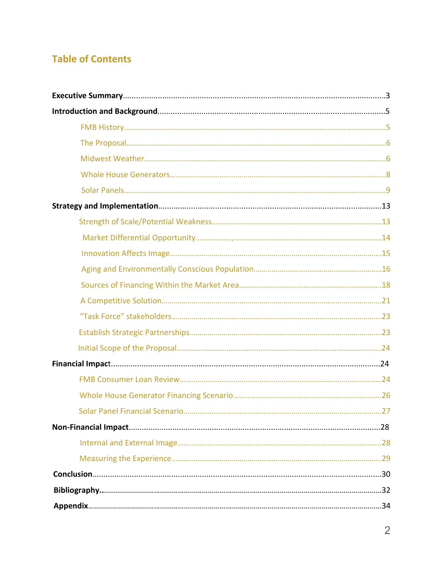# **Table of Contents**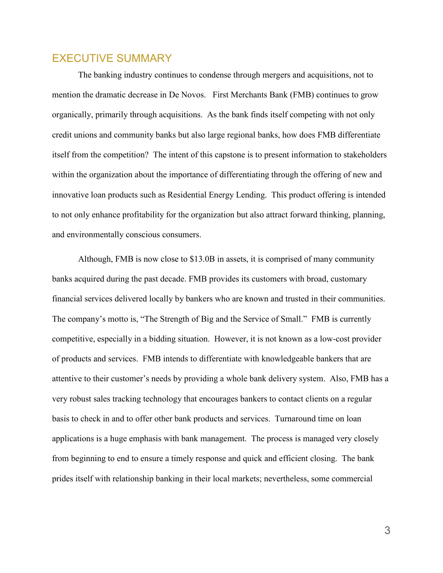# EXECUTIVE SUMMARY

The banking industry continues to condense through mergers and acquisitions, not to mention the dramatic decrease in De Novos. First Merchants Bank (FMB) continues to grow organically, primarily through acquisitions. As the bank finds itself competing with not only credit unions and community banks but also large regional banks, how does FMB differentiate itself from the competition? The intent of this capstone is to present information to stakeholders within the organization about the importance of differentiating through the offering of new and innovative loan products such as Residential Energy Lending. This product offering is intended to not only enhance profitability for the organization but also attract forward thinking, planning, and environmentally conscious consumers.

Although, FMB is now close to \$13.0B in assets, it is comprised of many community banks acquired during the past decade. FMB provides its customers with broad, customary financial services delivered locally by bankers who are known and trusted in their communities. The company's motto is, "The Strength of Big and the Service of Small." FMB is currently competitive, especially in a bidding situation. However, it is not known as a low-cost provider of products and services. FMB intends to differentiate with knowledgeable bankers that are attentive to their customer's needs by providing a whole bank delivery system. Also, FMB has a very robust sales tracking technology that encourages bankers to contact clients on a regular basis to check in and to offer other bank products and services. Turnaround time on loan applications is a huge emphasis with bank management. The process is managed very closely from beginning to end to ensure a timely response and quick and efficient closing. The bank prides itself with relationship banking in their local markets; nevertheless, some commercial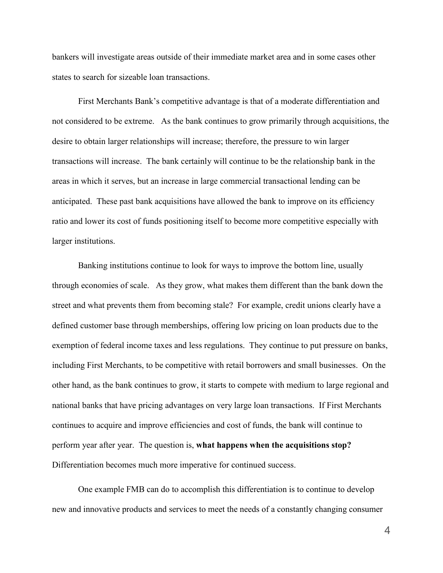bankers will investigate areas outside of their immediate market area and in some cases other states to search for sizeable loan transactions.

First Merchants Bank's competitive advantage is that of a moderate differentiation and not considered to be extreme. As the bank continues to grow primarily through acquisitions, the desire to obtain larger relationships will increase; therefore, the pressure to win larger transactions will increase. The bank certainly will continue to be the relationship bank in the areas in which it serves, but an increase in large commercial transactional lending can be anticipated. These past bank acquisitions have allowed the bank to improve on its efficiency ratio and lower its cost of funds positioning itself to become more competitive especially with larger institutions.

Banking institutions continue to look for ways to improve the bottom line, usually through economies of scale. As they grow, what makes them different than the bank down the street and what prevents them from becoming stale? For example, credit unions clearly have a defined customer base through memberships, offering low pricing on loan products due to the exemption of federal income taxes and less regulations. They continue to put pressure on banks, including First Merchants, to be competitive with retail borrowers and small businesses. On the other hand, as the bank continues to grow, it starts to compete with medium to large regional and national banks that have pricing advantages on very large loan transactions. If First Merchants continues to acquire and improve efficiencies and cost of funds, the bank will continue to perform year after year. The question is, **what happens when the acquisitions stop?** Differentiation becomes much more imperative for continued success.

One example FMB can do to accomplish this differentiation is to continue to develop new and innovative products and services to meet the needs of a constantly changing consumer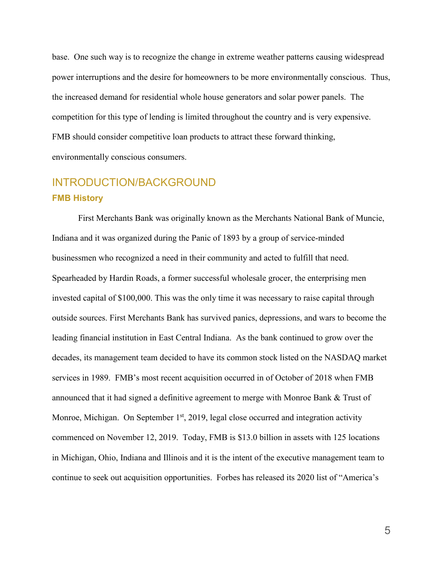base. One such way is to recognize the change in extreme weather patterns causing widespread power interruptions and the desire for homeowners to be more environmentally conscious. Thus, the increased demand for residential whole house generators and solar power panels. The competition for this type of lending is limited throughout the country and is very expensive. FMB should consider competitive loan products to attract these forward thinking, environmentally conscious consumers.

# INTRODUCTION/BACKGROUND **FMB History**

First Merchants Bank was originally known as the Merchants National Bank of Muncie, Indiana and it was organized during the Panic of 1893 by a group of service-minded businessmen who recognized a need in their community and acted to fulfill that need. Spearheaded by Hardin Roads, a former successful wholesale grocer, the enterprising men invested capital of \$100,000. This was the only time it was necessary to raise capital through outside sources. First Merchants Bank has survived panics, depressions, and wars to become the leading financial institution in East Central Indiana. As the bank continued to grow over the decades, its management team decided to have its common stock listed on the NASDAQ market services in 1989. FMB's most recent acquisition occurred in of October of 2018 when FMB announced that it had signed a definitive agreement to merge with Monroe Bank & Trust of Monroe, Michigan. On September  $1<sup>st</sup>$ , 2019, legal close occurred and integration activity commenced on November 12, 2019. Today, FMB is \$13.0 billion in assets with 125 locations in Michigan, Ohio, Indiana and Illinois and it is the intent of the executive management team to continue to seek out acquisition opportunities. Forbes has released its [2020 list of "America's](https://www.forbes.com/sites/antoinegara/2020/01/22/americas-best-banks-2020/)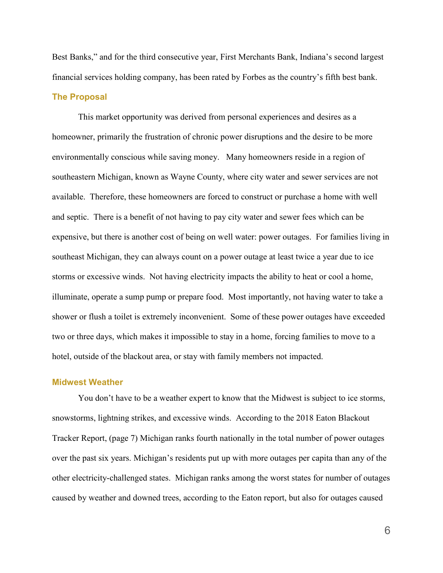[Best Banks,](https://www.forbes.com/sites/antoinegara/2020/01/22/americas-best-banks-2020/)" and for the third consecutive year, First Merchants Bank, Indiana's second largest financial services holding company, has been rated by Forbes as the country's fifth best bank. **The Proposal**

This market opportunity was derived from personal experiences and desires as a homeowner, primarily the frustration of chronic power disruptions and the desire to be more environmentally conscious while saving money. Many homeowners reside in a region of southeastern Michigan, known as Wayne County, where city water and sewer services are not available. Therefore, these homeowners are forced to construct or purchase a home with well and septic. There is a benefit of not having to pay city water and sewer fees which can be expensive, but there is another cost of being on well water: power outages. For families living in southeast Michigan, they can always count on a power outage at least twice a year due to ice storms or excessive winds. Not having electricity impacts the ability to heat or cool a home, illuminate, operate a sump pump or prepare food. Most importantly, not having water to take a shower or flush a toilet is extremely inconvenient. Some of these power outages have exceeded two or three days, which makes it impossible to stay in a home, forcing families to move to a hotel, outside of the blackout area, or stay with family members not impacted.

#### **Midwest Weather**

You don't have to be a weather expert to know that the Midwest is subject to ice storms, snowstorms, lightning strikes, and excessive winds. According to the 2018 Eaton Blackout Tracker Report, (page 7) Michigan ranks fourth nationally in the total number of power outages over the past six years. Michigan's residents put up with more outages per capita than any of the other electricity-challenged states. Michigan ranks among the worst states for number of outages caused by weather and downed trees, according to the Eaton report, but also for outages caused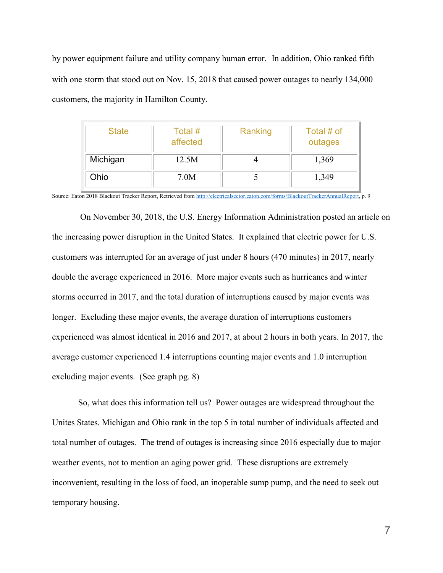by power equipment failure and utility company human error. In addition, Ohio ranked fifth with one storm that stood out on Nov. 15, 2018 that caused power outages to nearly 134,000 customers, the majority in Hamilton County.

| <b>State</b> | Total #<br>affected | Ranking | Total # of<br>outages |  |  |
|--------------|---------------------|---------|-----------------------|--|--|
| Michigan     | 12.5M               |         | 1,369                 |  |  |
| Ohio         | 7.0M                |         | 1,349                 |  |  |

Source: Eaton 2018 Blackout Tracker Report, Retrieved fro[m http://electricalsector.eaton.com/forms/BlackoutTrackerAnnualReport,](http://electricalsector.eaton.com/forms/BlackoutTrackerAnnualReport) p. 9

On November 30, 2018, the U.S. Energy Information Administration posted an article on the increasing power disruption in the United States. It explained that electric power for U.S. customers was interrupted for an average of just under 8 hours (470 minutes) in 2017, nearly double the average experienced in 2016. More major events such as hurricanes and winter storms occurred in 2017, and the total duration of interruptions caused by major events was longer. Excluding these major events, the average duration of interruptions customers experienced was almost identical in 2016 and 2017, at about 2 hours in both years. In 2017, the average customer experienced 1.4 interruptions counting major events and 1.0 interruption excluding major events. (See graph pg. 8)

So, what does this information tell us? Power outages are widespread throughout the Unites States. Michigan and Ohio rank in the top 5 in total number of individuals affected and total number of outages. The trend of outages is increasing since 2016 especially due to major weather events, not to mention an aging power grid. These disruptions are extremely inconvenient, resulting in the loss of food, an inoperable sump pump, and the need to seek out temporary housing.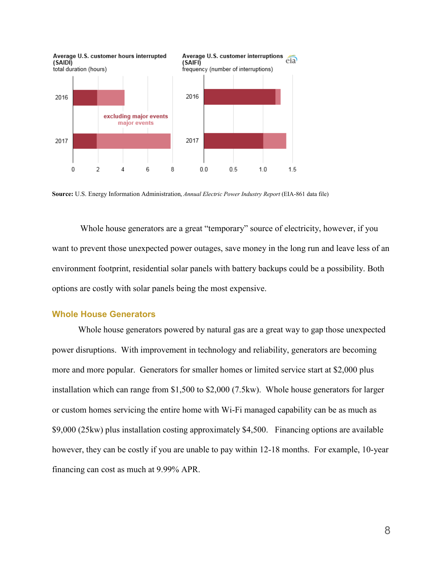

**Source:** U.S. Energy Information Administration, *Annual Electric Power [Industry](https://www.eia.gov/electricity/data/eia861/) Report* (EIA-861 data file)

Whole house generators are a great "temporary" source of electricity, however, if you want to prevent those unexpected power outages, save money in the long run and leave less of an environment footprint, residential solar panels with battery backups could be a possibility. Both options are costly with solar panels being the most expensive.

#### **Whole House Generators**

Whole house generators powered by natural gas are a great way to gap those unexpected power disruptions. With improvement in technology and reliability, generators are becoming more and more popular. Generators for smaller homes or limited service start at \$2,000 plus installation which can range from \$1,500 to \$2,000 (7.5kw). Whole house generators for larger or custom homes servicing the entire home with Wi-Fi managed capability can be as much as \$9,000 (25kw) plus installation costing approximately \$4,500. Financing options are available however, they can be costly if you are unable to pay within 12-18 months. For example, 10-year financing can cost as much at 9.99% APR.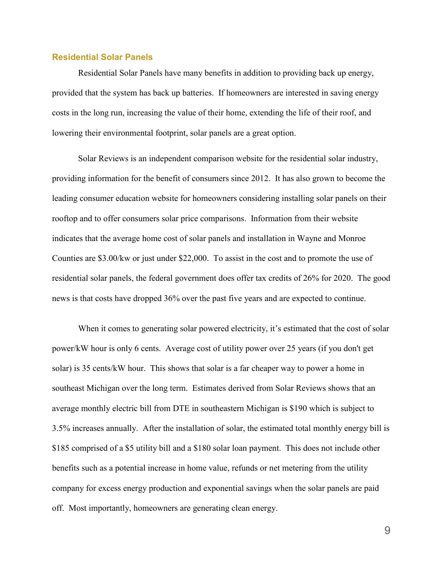### **Residential Solar Panels**

Residential Solar Panels have many benefits in addition to providing back up energy, provided that the system has back up batteries. If homeowners are interested in saving energy costs in the long run, increasing the value of their home, extending the life of their roof, and lowering their environmental footprint, solar panels are a great option.

Solar Reviews is an independent comparison website for the residential solar industry, providing information for the benefit of consumers since 2012. It has also grown to become the leading consumer education website for homeowners considering installing solar panels on their rooftop and to offer consumers solar price comparisons. Information from their website indicates that the average home cost of solar panels and installation in Wayne and Monroe Counties are \$3.00/kw or just under \$22,000. To assist in the cost and to promote the use of residential solar panels, the federal government does offer tax credits of 26% for 2020. The good news is that costs have dropped 36% over the past five years and are expected to continue.

When it comes to generating solar powered electricity, it's estimated that the cost of solar power/kW hour is only 6 cents. Average cost of utility power over 25 years (if you don't get solar) is 35 cents/kW hour. This shows that solar is a far cheaper way to power a home in southeast Michigan over the long term. Estimates derived from Solar Reviews shows that an average monthly electric bill from DTE in southeastern Michigan is \$190 which is subject to 3.5% increases annually. After the installation of solar, the estimated total monthly energy bill is \$185 comprised of a \$5 utility bill and a \$180 solar loan payment. This does not include other benefits such as a potential increase in home value, refunds or net metering from the utility company for excess energy production and exponential savings when the solar panels are paid off. Most importantly, homeowners are generating clean energy.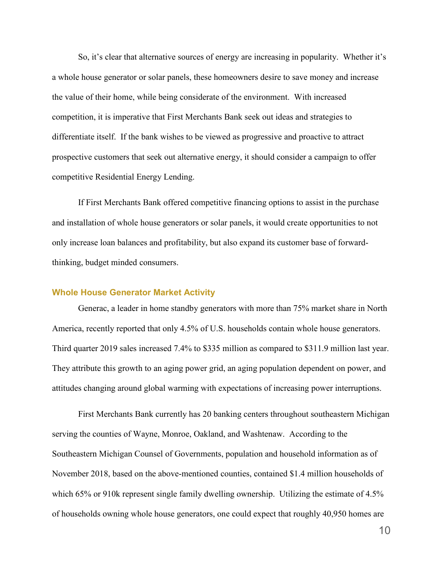So, it's clear that alternative sources of energy are increasing in popularity. Whether it's a whole house generator or solar panels, these homeowners desire to save money and increase the value of their home, while being considerate of the environment. With increased competition, it is imperative that First Merchants Bank seek out ideas and strategies to differentiate itself. If the bank wishes to be viewed as progressive and proactive to attract prospective customers that seek out alternative energy, it should consider a campaign to offer competitive Residential Energy Lending.

If First Merchants Bank offered competitive financing options to assist in the purchase and installation of whole house generators or solar panels, it would create opportunities to not only increase loan balances and profitability, but also expand its customer base of forwardthinking, budget minded consumers.

#### **Whole House Generator Market Activity**

Generac, a leader in home standby generators with more than 75% market share in North America, recently reported that only 4.5% of U.S. households contain whole house generators. Third quarter 2019 sales increased 7.4% to \$335 million as compared to \$311.9 million last year. They attribute this growth to an aging power grid, an aging population dependent on power, and attitudes changing around global warming with expectations of increasing power interruptions.

First Merchants Bank currently has 20 banking centers throughout southeastern Michigan serving the counties of Wayne, Monroe, Oakland, and Washtenaw. According to the Southeastern Michigan Counsel of Governments, population and household information as of November 2018, based on the above-mentioned counties, contained \$1.4 million households of which 65% or 910k represent single family dwelling ownership. Utilizing the estimate of 4.5% of households owning whole house generators, one could expect that roughly 40,950 homes are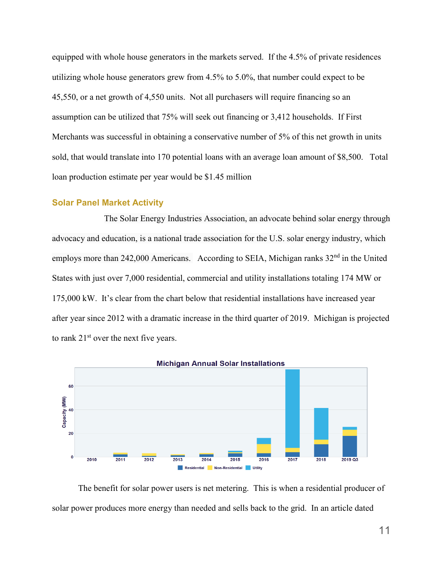equipped with whole house generators in the markets served. If the 4.5% of private residences utilizing whole house generators grew from 4.5% to 5.0%, that number could expect to be 45,550, or a net growth of 4,550 units. Not all purchasers will require financing so an assumption can be utilized that 75% will seek out financing or 3,412 households. If First Merchants was successful in obtaining a conservative number of 5% of this net growth in units sold, that would translate into 170 potential loans with an average loan amount of \$8,500. Total loan production estimate per year would be \$1.45 million

## **Solar Panel Market Activity**

The Solar Energy Industries Association, an advocate behind solar energy through advocacy and education, is a national trade association for the U.S. solar energy industry, which employs more than 242,000 Americans. According to SEIA, Michigan ranks 32<sup>nd</sup> in the United States with just over 7,000 residential, commercial and utility installations totaling 174 MW or 175,000 kW. It's clear from the chart below that residential installations have increased year after year since 2012 with a dramatic increase in the third quarter of 2019. Michigan is projected to rank 21st over the next five years.



The benefit for solar power users is net metering. This is when a residential producer of solar power produces more energy than needed and sells back to the grid. In an article dated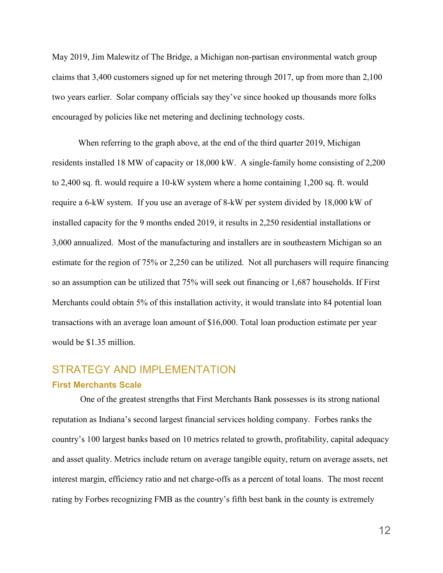May 2019, Jim Malewitz of The Bridge, a Michigan non-partisan environmental watch group claims that 3,400 customers signed up for net metering through 2017, up from more than 2,100 two years earlier. Solar company officials say they've since hooked up thousands more folks encouraged by policies like net metering and declining technology costs.

When referring to the graph above, at the end of the third quarter 2019, Michigan residents installed 18 MW of capacity or 18,000 kW. A single-family home consisting of 2,200 to 2,400 sq. ft. would require a 10-kW system where a home containing 1,200 sq. ft. would require a 6-kW system. If you use an average of 8-kW per system divided by 18,000 kW of installed capacity for the 9 months ended 2019, it results in 2,250 residential installations or 3,000 annualized. Most of the manufacturing and installers are in southeastern Michigan so an estimate for the region of 75% or 2,250 can be utilized. Not all purchasers will require financing so an assumption can be utilized that 75% will seek out financing or 1,687 households. If First Merchants could obtain 5% of this installation activity, it would translate into 84 potential loan transactions with an average loan amount of \$16,000. Total loan production estimate per year would be \$1.35 million.

# STRATEGY AND IMPLEMENTATION **First Merchants Scale**

One of the greatest strengths that First Merchants Bank possesses is its strong national reputation as Indiana's second largest financial services holding company. Forbes ranks the country's 100 largest banks based on 10 metrics related to growth, profitability, capital adequacy and asset quality. Metrics include return on average tangible equity, return on average assets, net interest margin, efficiency ratio and net charge-offs as a percent of total loans. The most recent rating by Forbes recognizing FMB as the country's fifth best bank in the county is extremely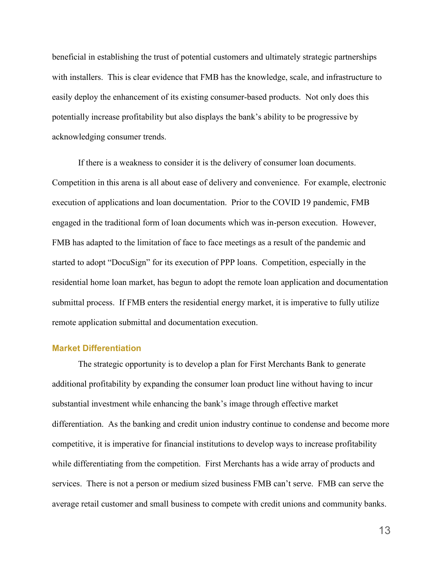beneficial in establishing the trust of potential customers and ultimately strategic partnerships with installers. This is clear evidence that FMB has the knowledge, scale, and infrastructure to easily deploy the enhancement of its existing consumer-based products. Not only does this potentially increase profitability but also displays the bank's ability to be progressive by acknowledging consumer trends.

If there is a weakness to consider it is the delivery of consumer loan documents. Competition in this arena is all about ease of delivery and convenience. For example, electronic execution of applications and loan documentation. Prior to the COVID 19 pandemic, FMB engaged in the traditional form of loan documents which was in-person execution. However, FMB has adapted to the limitation of face to face meetings as a result of the pandemic and started to adopt "DocuSign" for its execution of PPP loans. Competition, especially in the residential home loan market, has begun to adopt the remote loan application and documentation submittal process. If FMB enters the residential energy market, it is imperative to fully utilize remote application submittal and documentation execution.

## **Market Differentiation**

The strategic opportunity is to develop a plan for First Merchants Bank to generate additional profitability by expanding the consumer loan product line without having to incur substantial investment while enhancing the bank's image through effective market differentiation. As the banking and credit union industry continue to condense and become more competitive, it is imperative for financial institutions to develop ways to increase profitability while differentiating from the competition. First Merchants has a wide array of products and services. There is not a person or medium sized business FMB can't serve. FMB can serve the average retail customer and small business to compete with credit unions and community banks.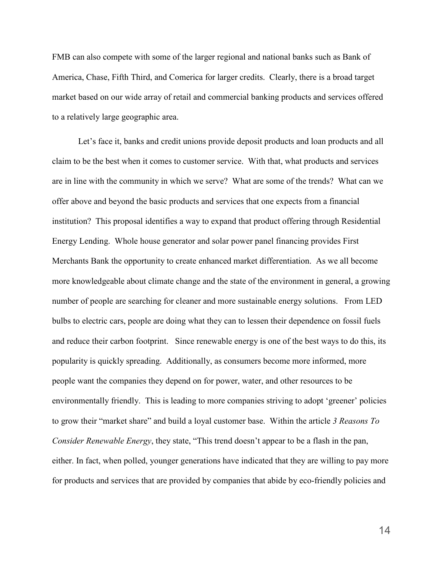FMB can also compete with some of the larger regional and national banks such as Bank of America, Chase, Fifth Third, and Comerica for larger credits. Clearly, there is a broad target market based on our wide array of retail and commercial banking products and services offered to a relatively large geographic area.

Let's face it, banks and credit unions provide deposit products and loan products and all claim to be the best when it comes to customer service. With that, what products and services are in line with the community in which we serve? What are some of the trends? What can we offer above and beyond the basic products and services that one expects from a financial institution? This proposal identifies a way to expand that product offering through Residential Energy Lending. Whole house generator and solar power panel financing provides First Merchants Bank the opportunity to create enhanced market differentiation. As we all become more knowledgeable about climate change and the state of the environment in general, [a growing](https://www.seia.org/us-solar-market-insight)  [number of people are searching for cleaner and more sustainable energy solutions.](https://www.seia.org/us-solar-market-insight) From LED bulbs to electric cars, people are doing what they can to lessen their dependence on fossil fuels and reduce their carbon footprint. Since renewable energy is one of the best ways to do this, its popularity is quickly spreading. Additionally, as consumers become more informed, more people want the companies they depend on for power, water, and other resources to be environmentally friendly. This is leading to more companies striving to adopt 'greener' policies to grow their "market share" and build a loyal customer base. Within the article *3 Reasons To Consider Renewable Energy*, they state, "This trend [doesn't appear to be a flash in the pan,](https://www.igs.com/energy-resource-center/blog/green-energy-long-haul) either. In fact, when polled, younger generations have indicated that they are [willing to pay more](https://www.nielsen.com/us/en/insights/news/2015/green-generation-millennials-say-sustainability-is-a-shopping-priority.html)  [for products and services](https://www.nielsen.com/us/en/insights/news/2015/green-generation-millennials-say-sustainability-is-a-shopping-priority.html) that are provided by companies that abide by eco-friendly policies and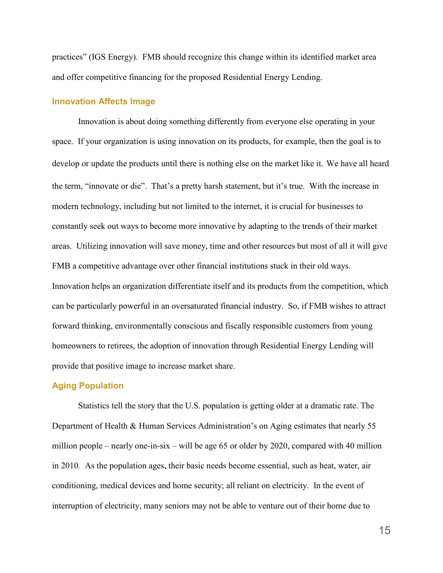practices" (IGS Energy). FMB should recognize this change within its identified market area and offer competitive financing for the proposed Residential Energy Lending.

#### **Innovation Affects Image**

Innovation is about doing something differently from everyone else operating in your space. If your organization is using innovation on its products, for example, then the goal is to develop or update the products until there is nothing else on the market like it. We have all heard the term, "innovate or die". That's a pretty harsh statement, but it's true. With the increase in modern technology, including but not limited to the internet, it is crucial for businesses to constantly seek out ways to become more innovative by adapting to the trends of their market areas. Utilizing innovation will save money, time and other resources but most of all it will give FMB a competitive advantage over other financial institutions stuck in their old ways. Innovation helps an organization differentiate itself and its products from the competition, which can be particularly powerful in an oversaturated financial industry. So, if FMB wishes to attract forward thinking, environmentally conscious and fiscally responsible customers from young homeowners to retirees, the adoption of innovation through Residential Energy Lending will provide that positive image to increase market share.

## **Aging Population**

Statistics tell the story that the U.S. population is getting older at a dramatic rate. The Department of Health & Human Services Administration's on Aging estimates that nearly 55 million people – nearly one-in-six – will be age 65 or older by 2020, compared with 40 million in 2010. As the population ages, their basic needs become essential, such as heat, water, air conditioning, medical devices and home security; all reliant on electricity. In the event of interruption of electricity, many seniors may not be able to venture out of their home due to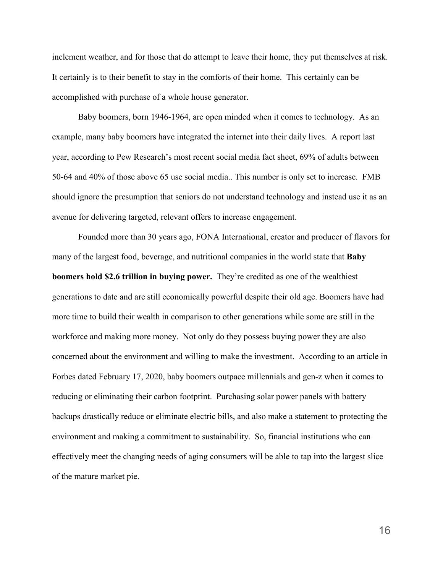inclement weather, and for those that do attempt to leave their home, they put themselves at risk. It certainly is to their benefit to stay in the comforts of their home. This certainly can be accomplished with purchase of a whole house generator.

Baby boomers, born 1946-1964, are open minded when it comes to technology. As an example, many baby boomers have integrated the internet into their daily lives. A report last year, according to Pew Research's most recent [social media fact sheet,](https://www.pewresearch.org/internet/fact-sheet/social-media/) 69% of adults between 50-64 and 40% of those above 65 use social media.. This number is only set to increase. FMB should ignore the presumption that seniors do not understand technology and instead use it as an avenue for delivering targeted, relevant offers to increase engagement.

Founded more than 30 years ago, FONA International, creator and producer of flavors for many of the largest food, beverage, and nutritional companies in the world state that **Baby boomers hold \$2.6 trillion in buying power.** They're credited as one of the wealthiest generations to date and are still economically powerful despite their old age. Boomers have had more time to build their wealth in comparison to other generations while some are still in the workforce and making more money. Not only do they possess buying power they are also concerned about the environment and willing to make the investment. According to an article in Forbes dated February 17, 2020, baby boomers outpace millennials and gen-z when it comes to reducing or eliminating their carbon footprint. Purchasing solar power panels with battery backups drastically reduce or eliminate electric bills, and also make a statement to protecting the environment and making a commitment to sustainability. So, financial institutions who can effectively meet the changing needs of aging consumers will be able to tap into the largest slice of the mature market pie.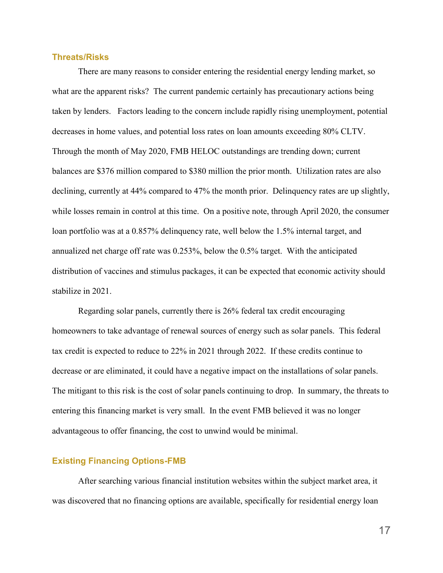## **Threats/Risks**

There are many reasons to consider entering the residential energy lending market, so what are the apparent risks? The current pandemic certainly has precautionary actions being taken by lenders. Factors leading to the concern include rapidly rising unemployment, potential decreases in home values, and potential loss rates on loan amounts exceeding 80% CLTV. Through the month of May 2020, FMB HELOC outstandings are trending down; current balances are \$376 million compared to \$380 million the prior month. Utilization rates are also declining, currently at 44% compared to 47% the month prior. Delinquency rates are up slightly, while losses remain in control at this time. On a positive note, through April 2020, the consumer loan portfolio was at a 0.857% delinquency rate, well below the 1.5% internal target, and annualized net charge off rate was 0.253%, below the 0.5% target. With the anticipated distribution of vaccines and stimulus packages, it can be expected that economic activity should stabilize in 2021.

Regarding solar panels, currently there is 26% federal tax credit encouraging homeowners to take advantage of renewal sources of energy such as solar panels. This federal tax credit is expected to reduce to 22% in 2021 through 2022. If these credits continue to decrease or are eliminated, it could have a negative impact on the installations of solar panels. The mitigant to this risk is the cost of solar panels continuing to drop. In summary, the threats to entering this financing market is very small. In the event FMB believed it was no longer advantageous to offer financing, the cost to unwind would be minimal.

#### **Existing Financing Options-FMB**

After searching various financial institution websites within the subject market area, it was discovered that no financing options are available, specifically for residential energy loan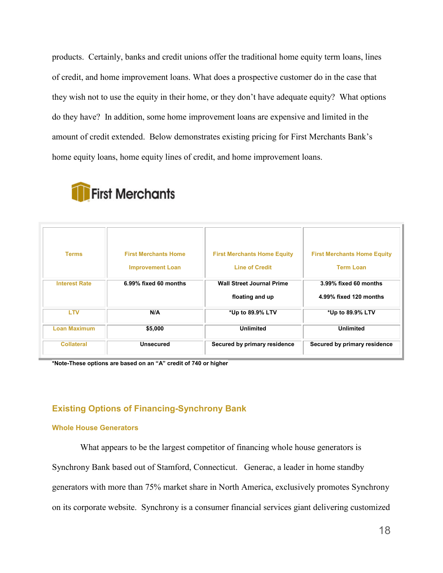products. Certainly, banks and credit unions offer the traditional home equity term loans, lines of credit, and home improvement loans. What does a prospective customer do in the case that they wish not to use the equity in their home, or they don't have adequate equity? What options do they have? In addition, some home improvement loans are expensive and limited in the amount of credit extended. Below demonstrates existing pricing for First Merchants Bank's home equity loans, home equity lines of credit, and home improvement loans.

| <b>First Merchants Home</b><br><b>First Merchants Home Equity</b><br><b>Terms</b><br><b>Line of Credit</b><br><b>Improvement Loan</b><br><b>Wall Street Journal Prime</b><br><b>Interest Rate</b><br>6.99% fixed 60 months<br>floating and up<br><b>LTV</b><br>N/A<br>*Up to 89.9% LTV<br><b>Loan Maximum</b><br><b>Unlimited</b><br>\$5,000 | <b>Collateral</b> | <b>Unsecured</b> | Secured by primary residence | Secured by primary residence       |  |  |
|----------------------------------------------------------------------------------------------------------------------------------------------------------------------------------------------------------------------------------------------------------------------------------------------------------------------------------------------|-------------------|------------------|------------------------------|------------------------------------|--|--|
|                                                                                                                                                                                                                                                                                                                                              |                   |                  |                              | <b>Unlimited</b>                   |  |  |
|                                                                                                                                                                                                                                                                                                                                              |                   |                  |                              | *Up to 89.9% LTV                   |  |  |
|                                                                                                                                                                                                                                                                                                                                              |                   |                  |                              | 4.99% fixed 120 months             |  |  |
|                                                                                                                                                                                                                                                                                                                                              |                   |                  |                              | 3.99% fixed 60 months              |  |  |
|                                                                                                                                                                                                                                                                                                                                              |                   |                  |                              | <b>Term Loan</b>                   |  |  |
|                                                                                                                                                                                                                                                                                                                                              |                   |                  |                              | <b>First Merchants Home Equity</b> |  |  |
|                                                                                                                                                                                                                                                                                                                                              |                   |                  |                              |                                    |  |  |

**First Merchants** 

**\*Note-These options are based on an "A" credit of 740 or higher**

## **Existing Options of Financing-Synchrony Bank**

#### **Whole House Generators**

What appears to be the largest competitor of financing whole house generators is Synchrony Bank based out of Stamford, Connecticut. Generac, a leader in home standby generators with more than 75% market share in North America, exclusively promotes Synchrony on its corporate website. Synchrony is a consumer financial services giant delivering customized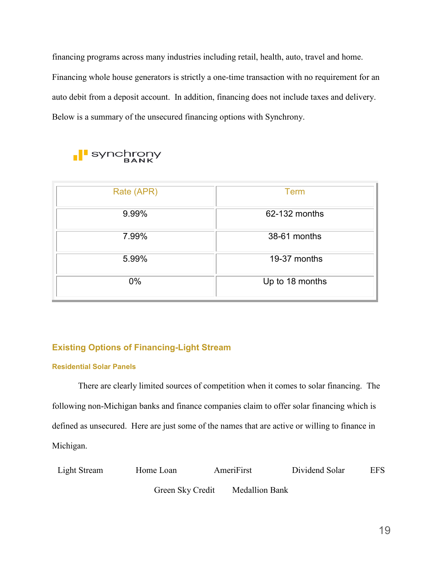financing programs across many industries including retail, health, auto, travel and home. Financing whole house generators is strictly a one-time transaction with no requirement for an auto debit from a deposit account. In addition, financing does not include taxes and delivery. Below is a summary of the unsecured financing options with Synchrony.



| Rate (APR) | <b>Term</b>     |
|------------|-----------------|
| 9.99%      | 62-132 months   |
| 7.99%      | 38-61 months    |
| 5.99%      | 19-37 months    |
| $0\%$      | Up to 18 months |

# **Existing Options of Financing-Light Stream**

## **Residential Solar Panels**

There are clearly limited sources of competition when it comes to solar financing. The following non-Michigan banks and finance companies claim to offer solar financing which is defined as unsecured. Here are just some of the names that are active or willing to finance in Michigan.

| Light Stream | Home Loan        | AmeriFirst            | Dividend Solar | <b>EFS</b> |
|--------------|------------------|-----------------------|----------------|------------|
|              | Green Sky Credit | <b>Medallion Bank</b> |                |            |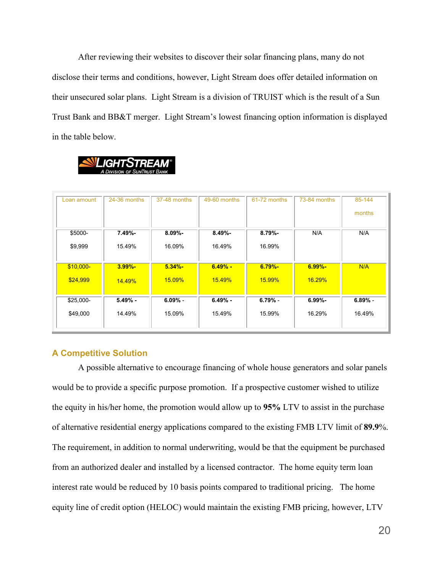After reviewing their websites to discover their solar financing plans, many do not disclose their terms and conditions, however, Light Stream does offer detailed information on their unsecured solar plans. Light Stream is a division of TRUIST which is the result of a Sun Trust Bank and BB&T merger. Light Stream's lowest financing option information is displayed in the table below.



| Loan amount | 24-36 months | 37-48 months | 49-60 months  | 61-72 months  | 73-84 months  | 85-144<br>months |
|-------------|--------------|--------------|---------------|---------------|---------------|------------------|
|             |              |              |               |               |               |                  |
| \$5000-     | $7.49% -$    | $8.09% -$    | $8.49% -$     | $8.79% -$     | N/A           | N/A              |
| \$9,999     | 15.49%       | 16.09%       | 16.49%        | 16.99%        |               |                  |
| $$10,000-$  | $3.99% -$    | $5.34% -$    | $6.49% -$     | $6.79% -$     | $6.99% -$     | N/A              |
| \$24,999    | 14.49%       | 15.09%       | <b>15.49%</b> | <b>15.99%</b> | <b>16.29%</b> |                  |
| \$25,000-   | $5.49% -$    | $6.09\%$ -   | $6.49% -$     | $6.79% -$     | $6.99% -$     | $6.89% -$        |
|             |              |              |               |               |               |                  |
| \$49,000    | 14.49%       | 15.09%       | 15.49%        | 15.99%        | 16.29%        | 16.49%           |

## **A Competitive Solution**

A possible alternative to encourage financing of whole house generators and solar panels would be to provide a specific purpose promotion. If a prospective customer wished to utilize the equity in his/her home, the promotion would allow up to **95%** LTV to assist in the purchase of alternative residential energy applications compared to the existing FMB LTV limit of **89.9**%. The requirement, in addition to normal underwriting, would be that the equipment be purchased from an authorized dealer and installed by a licensed contractor. The home equity term loan interest rate would be reduced by 10 basis points compared to traditional pricing. The home equity line of credit option (HELOC) would maintain the existing FMB pricing, however, LTV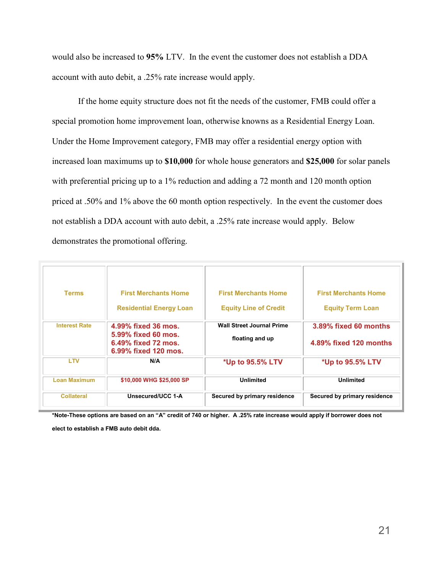would also be increased to **95%** LTV. In the event the customer does not establish a DDA account with auto debit, a .25% rate increase would apply.

If the home equity structure does not fit the needs of the customer, FMB could offer a special promotion home improvement loan, otherwise knowns as a Residential Energy Loan. Under the Home Improvement category, FMB may offer a residential energy option with increased loan maximums up to **\$10,000** for whole house generators and **\$25,000** for solar panels with preferential pricing up to a 1% reduction and adding a 72 month and 120 month option priced at .50% and 1% above the 60 month option respectively. In the event the customer does not establish a DDA account with auto debit, a .25% rate increase would apply. Below demonstrates the promotional offering.

| <b>Terms</b>         | <b>First Merchants Home</b><br><b>Residential Energy Loan</b>                             | <b>First Merchants Home</b><br><b>Equity Line of Credit</b> | <b>First Merchants Home</b><br><b>Equity Term Loan</b> |
|----------------------|-------------------------------------------------------------------------------------------|-------------------------------------------------------------|--------------------------------------------------------|
| <b>Interest Rate</b> | 4.99% fixed 36 mos.<br>5.99% fixed 60 mos.<br>6.49% fixed 72 mos.<br>6.99% fixed 120 mos. | <b>Wall Street Journal Prime</b><br>floating and up         | 3.89% fixed 60 months<br>4.89% fixed 120 months        |
| <b>LTV</b>           | N/A                                                                                       | *Up to 95.5% LTV                                            | *Up to 95.5% LTV                                       |
| <b>Loan Maximum</b>  | \$10,000 WHG \$25,000 SP                                                                  | <b>Unlimited</b>                                            | <b>Unlimited</b>                                       |
| <b>Collateral</b>    | Unsecured/UCC 1-A                                                                         | Secured by primary residence                                | Secured by primary residence                           |

**\*Note-These options are based on an "A" credit of 740 or higher. A .25% rate increase would apply if borrower does not elect to establish a FMB auto debit dda.**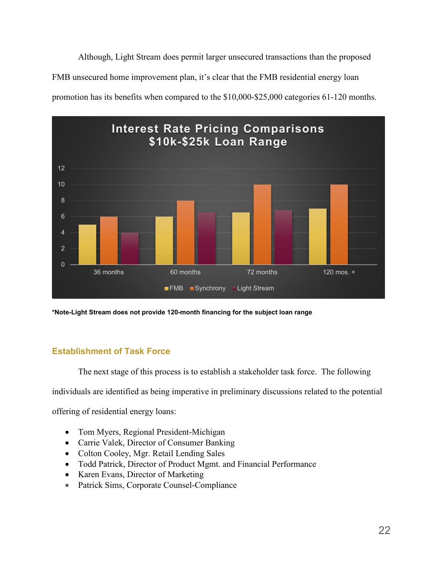Although, Light Stream does permit larger unsecured transactions than the proposed FMB unsecured home improvement plan, it's clear that the FMB residential energy loan promotion has its benefits when compared to the \$10,000-\$25,000 categories 61-120 months.



**\*Note-Light Stream does not provide 120-month financing for the subject loan range**

# **Establishment of Task Force**

The next stage of this process is to establish a stakeholder task force. The following

individuals are identified as being imperative in preliminary discussions related to the potential

offering of residential energy loans:

- Tom Myers, Regional President-Michigan
- Carrie Valek, Director of Consumer Banking
- Colton Cooley, Mgr. Retail Lending Sales
- Todd Patrick, Director of Product Mgmt. and Financial Performance
- Karen Evans, Director of Marketing
- Patrick Sims, Corporate Counsel-Compliance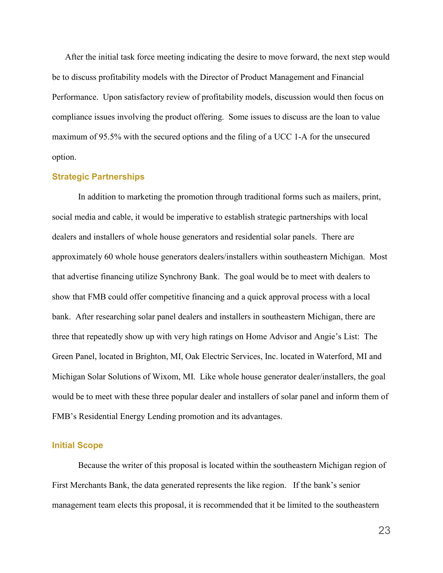After the initial task force meeting indicating the desire to move forward, the next step would be to discuss profitability models with the Director of Product Management and Financial Performance. Upon satisfactory review of profitability models, discussion would then focus on compliance issues involving the product offering. Some issues to discuss are the loan to value maximum of 95.5% with the secured options and the filing of a UCC 1-A for the unsecured option.

#### **Strategic Partnerships**

In addition to marketing the promotion through traditional forms such as mailers, print, social media and cable, it would be imperative to establish strategic partnerships with local dealers and installers of whole house generators and residential solar panels. There are approximately 60 whole house generators dealers/installers within southeastern Michigan. Most that advertise financing utilize Synchrony Bank. The goal would be to meet with dealers to show that FMB could offer competitive financing and a quick approval process with a local bank. After researching solar panel dealers and installers in southeastern Michigan, there are three that repeatedly show up with very high ratings on Home Advisor and Angie's List: The Green Panel, located in Brighton, MI, Oak Electric Services, Inc. located in Waterford, MI and Michigan Solar Solutions of Wixom, MI. Like whole house generator dealer/installers, the goal would be to meet with these three popular dealer and installers of solar panel and inform them of FMB's Residential Energy Lending promotion and its advantages.

#### **Initial Scope**

Because the writer of this proposal is located within the southeastern Michigan region of First Merchants Bank, the data generated represents the like region. If the bank's senior management team elects this proposal, it is recommended that it be limited to the southeastern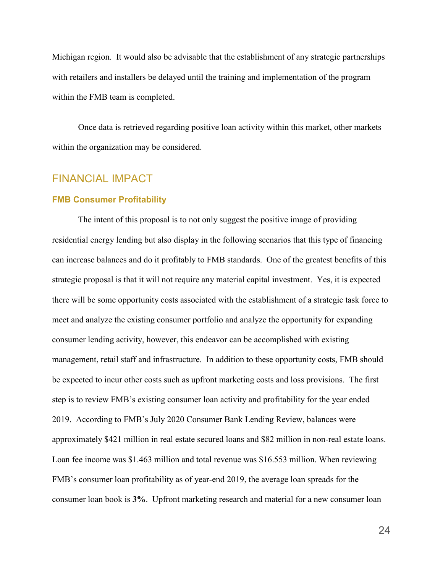Michigan region. It would also be advisable that the establishment of any strategic partnerships with retailers and installers be delayed until the training and implementation of the program within the FMB team is completed.

Once data is retrieved regarding positive loan activity within this market, other markets within the organization may be considered.

# FINANCIAL IMPACT

#### **FMB Consumer Profitability**

The intent of this proposal is to not only suggest the positive image of providing residential energy lending but also display in the following scenarios that this type of financing can increase balances and do it profitably to FMB standards. One of the greatest benefits of this strategic proposal is that it will not require any material capital investment. Yes, it is expected there will be some opportunity costs associated with the establishment of a strategic task force to meet and analyze the existing consumer portfolio and analyze the opportunity for expanding consumer lending activity, however, this endeavor can be accomplished with existing management, retail staff and infrastructure. In addition to these opportunity costs, FMB should be expected to incur other costs such as upfront marketing costs and loss provisions. The first step is to review FMB's existing consumer loan activity and profitability for the year ended 2019. According to FMB's July 2020 Consumer Bank Lending Review, balances were approximately \$421 million in real estate secured loans and \$82 million in non-real estate loans. Loan fee income was \$1.463 million and total revenue was \$16.553 million. When reviewing FMB's consumer loan profitability as of year-end 2019, the average loan spreads for the consumer loan book is **3%**. Upfront marketing research and material for a new consumer loan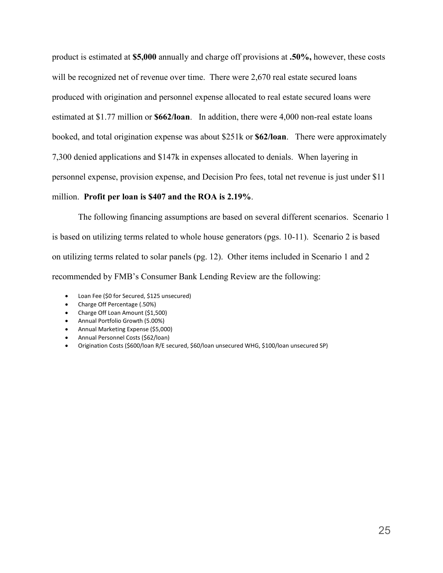product is estimated at **\$5,000** annually and charge off provisions at **.50%,** however, these costs will be recognized net of revenue over time. There were 2,670 real estate secured loans produced with origination and personnel expense allocated to real estate secured loans were estimated at \$1.77 million or **\$662/loan**. In addition, there were 4,000 non-real estate loans booked, and total origination expense was about \$251k or **\$62/loan**. There were approximately 7,300 denied applications and \$147k in expenses allocated to denials. When layering in personnel expense, provision expense, and Decision Pro fees, total net revenue is just under \$11 million. **Profit per loan is \$407 and the ROA is 2.19%**.

The following financing assumptions are based on several different scenarios. Scenario 1 is based on utilizing terms related to whole house generators (pgs. 10-11). Scenario 2 is based on utilizing terms related to solar panels (pg. 12). Other items included in Scenario 1 and 2 recommended by FMB's Consumer Bank Lending Review are the following:

- Loan Fee (\$0 for Secured, \$125 unsecured)
- Charge Off Percentage (.50%)
- Charge Off Loan Amount (\$1,500)
- Annual Portfolio Growth (5.00%)
- Annual Marketing Expense (\$5,000)
- Annual Personnel Costs (\$62/loan)
- Origination Costs (\$600/loan R/E secured, \$60/loan unsecured WHG, \$100/loan unsecured SP)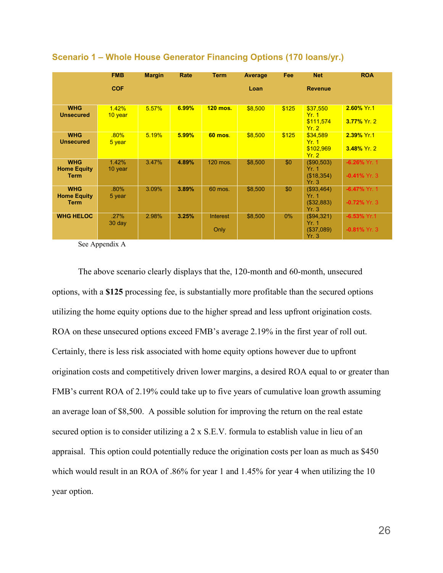|                                                 | <b>FMB</b>       | <b>Margin</b> | Rate  | <b>Term</b>      | Average | <b>Fee</b> | <b>Net</b>                                       | <b>ROA</b>                         |
|-------------------------------------------------|------------------|---------------|-------|------------------|---------|------------|--------------------------------------------------|------------------------------------|
|                                                 | <b>COF</b>       |               |       |                  | Loan    |            | <b>Revenue</b>                                   |                                    |
| <b>WHG</b><br><b>Unsecured</b>                  | 1.42%<br>10 year | 5.57%         | 6.99% | <b>120 mos.</b>  | \$8,500 | \$125      | \$37,550<br>Yr. 1<br>\$111,574<br>Yr.2           | 2.60% Yr.1<br>3.77% Yr. 2          |
| <b>WHG</b><br><b>Unsecured</b>                  | .80%<br>5 year   | 5.19%         | 5.99% | <b>60 mos.</b>   | \$8,500 | \$125      | \$34,589<br>Yr. 1<br>\$102.969<br>Yr.2           | 2.39% Yr.1<br>$3.48\%$ Yr. 2       |
| <b>WHG</b><br><b>Home Equity</b><br><b>Term</b> | 1.42%<br>10 year | 3.47%         | 4.89% | 120 mos.         | \$8,500 | \$0        | (\$90,503)<br>Yr. 1<br>(\$18,354)<br>Yr.3        | $-6.26\%$ Yr. 1<br>$-0.41\%$ Yr. 3 |
| <b>WHG</b><br><b>Home Equity</b><br><b>Term</b> | .80%<br>5 year   | 3.09%         | 3.89% | 60 mos.          | \$8,500 | \$0        | (\$93,464)<br>Yr. 1<br>(\$32,883)<br>Yr.3        | $-6.47\%$ Yr. 1<br>$-0.72\%$ Yr. 3 |
| <b>WHG HELOC</b>                                | .27%<br>$30$ day | 2.98%         | 3.25% | Interest<br>Only | \$8,500 | $0\%$      | (\$94,321)<br><b>Yr. 1</b><br>(\$37,089)<br>Yr.3 | $-6.53\%$ Yr.1<br>$-0.81\%$ Yr. 3  |

## **Scenario 1 – Whole House Generator Financing Options (170 loans/yr.)**

See Appendix A

The above scenario clearly displays that the, 120-month and 60-month, unsecured options, with a **\$125** processing fee, is substantially more profitable than the secured options utilizing the home equity options due to the higher spread and less upfront origination costs. ROA on these unsecured options exceed FMB's average 2.19% in the first year of roll out. Certainly, there is less risk associated with home equity options however due to upfront origination costs and competitively driven lower margins, a desired ROA equal to or greater than FMB's current ROA of 2.19% could take up to five years of cumulative loan growth assuming an average loan of \$8,500. A possible solution for improving the return on the real estate secured option is to consider utilizing a 2 x S.E.V. formula to establish value in lieu of an appraisal. This option could potentially reduce the origination costs per loan as much as \$450 which would result in an ROA of .86% for year 1 and 1.45% for year 4 when utilizing the 10 year option.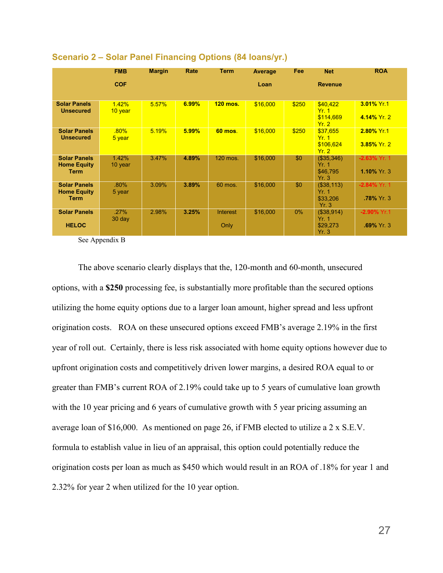|                                                          | <b>FMB</b>       | <b>Margin</b> | Rate  | <b>Term</b>      | Average  | Fee   | <b>Net</b>                                     | <b>ROA</b>                           |
|----------------------------------------------------------|------------------|---------------|-------|------------------|----------|-------|------------------------------------------------|--------------------------------------|
|                                                          | <b>COF</b>       |               |       |                  | Loan     |       | <b>Revenue</b>                                 |                                      |
| <b>Solar Panels</b><br><b>Unsecured</b>                  | 1.42%<br>10 year | 5.57%         | 6.99% | <b>120 mos.</b>  | \$16,000 | \$250 | \$40,422<br>Yr. 1<br>\$114,669<br>Yr.2         | 3.01% Yr.1<br>4.14% Yr. 2            |
| <b>Solar Panels</b><br><b>Unsecured</b>                  | .80%<br>5 year   | 5.19%         | 5.99% | <b>60 mos.</b>   | \$16,000 | \$250 | \$37.655<br>Yr. 1<br>\$106,624<br>Yr.2         | 2.80% Yr.1<br>3.85% Yr. 2            |
| <b>Solar Panels</b><br><b>Home Equity</b><br><b>Term</b> | 1.42%<br>10 year | 3.47%         | 4.89% | 120 mos.         | \$16,000 | \$0   | (\$35,346)<br>Yr. 1<br>\$46.795<br>Yr.3        | $-2.63\%$ Yr. 1<br>1.10% Yr. 3       |
| <b>Solar Panels</b><br><b>Home Equity</b><br><b>Term</b> | .80%<br>5 year   | 3.09%         | 3.89% | 60 mos.          | \$16,000 | \$0   | (\$38,113)<br>Yr. 1<br>\$33,206<br>Yr.3        | $-2.84\%$ Yr. 1<br><b>78% Yr. 3.</b> |
| <b>Solar Panels</b><br><b>HELOC</b>                      | .27%<br>$30$ day | 2.98%         | 3.25% | Interest<br>Only | \$16,000 | $0\%$ | (\$38,914)<br><b>Yr. 1</b><br>\$29,273<br>Yr.3 | $-2.90\%$ Yr.1<br>$.69\%$ Yr. 3      |

## **Scenario 2 – Solar Panel Financing Options (84 loans/yr.)**

See Appendix B

The above scenario clearly displays that the, 120-month and 60-month, unsecured options, with a **\$250** processing fee, is substantially more profitable than the secured options utilizing the home equity options due to a larger loan amount, higher spread and less upfront origination costs. ROA on these unsecured options exceed FMB's average 2.19% in the first year of roll out. Certainly, there is less risk associated with home equity options however due to upfront origination costs and competitively driven lower margins, a desired ROA equal to or greater than FMB's current ROA of 2.19% could take up to 5 years of cumulative loan growth with the 10 year pricing and 6 years of cumulative growth with 5 year pricing assuming an average loan of \$16,000. As mentioned on page 26, if FMB elected to utilize a 2 x S.E.V. formula to establish value in lieu of an appraisal, this option could potentially reduce the origination costs per loan as much as \$450 which would result in an ROA of .18% for year 1 and 2.32% for year 2 when utilized for the 10 year option.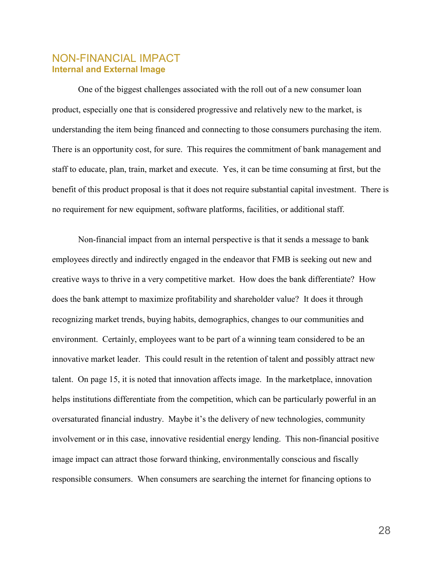# NON-FINANCIAL IMPACT **Internal and External Image**

One of the biggest challenges associated with the roll out of a new consumer loan product, especially one that is considered progressive and relatively new to the market, is understanding the item being financed and connecting to those consumers purchasing the item. There is an opportunity cost, for sure. This requires the commitment of bank management and staff to educate, plan, train, market and execute. Yes, it can be time consuming at first, but the benefit of this product proposal is that it does not require substantial capital investment. There is no requirement for new equipment, software platforms, facilities, or additional staff.

Non-financial impact from an internal perspective is that it sends a message to bank employees directly and indirectly engaged in the endeavor that FMB is seeking out new and creative ways to thrive in a very competitive market. How does the bank differentiate? How does the bank attempt to maximize profitability and shareholder value? It does it through recognizing market trends, buying habits, demographics, changes to our communities and environment. Certainly, employees want to be part of a winning team considered to be an innovative market leader. This could result in the retention of talent and possibly attract new talent. On page 15, it is noted that innovation affects image. In the marketplace, innovation helps institutions differentiate from the competition, which can be particularly powerful in an oversaturated financial industry. Maybe it's the delivery of new technologies, community involvement or in this case, innovative residential energy lending. This non-financial positive image impact can attract those forward thinking, environmentally conscious and fiscally responsible consumers. When consumers are searching the internet for financing options to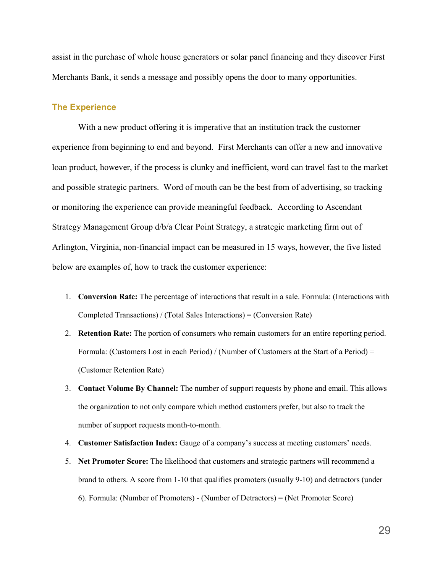assist in the purchase of whole house generators or solar panel financing and they discover First Merchants Bank, it sends a message and possibly opens the door to many opportunities.

## **The Experience**

With a new product offering it is imperative that an institution track the customer experience from beginning to end and beyond. First Merchants can offer a new and innovative loan product, however, if the process is clunky and inefficient, word can travel fast to the market and possible strategic partners. Word of mouth can be the best from of advertising, so tracking or monitoring the experience can provide meaningful feedback. According to Ascendant Strategy Management Group d/b/a Clear Point Strategy, a strategic marketing firm out of Arlington, Virginia, non-financial impact can be measured in 15 ways, however, the five listed below are examples of, how to track the customer experience:

- 1. **Conversion Rate:** The percentage of interactions that result in a sale. Formula: (Interactions with Completed Transactions) / (Total Sales Interactions) = (Conversion Rate)
- 2. **Retention Rate:** The portion of consumers who remain customers for an entire reporting period. Formula: (Customers Lost in each Period) / (Number of Customers at the Start of a Period) = (Customer Retention Rate)
- 3. **Contact Volume By Channel:** The number of support requests by phone and email. This allows the organization to not only compare which method customers prefer, but also to track the number of support requests month-to-month.
- 4. **Customer Satisfaction Index:** Gauge of a company's success at meeting customers' needs.
- 5. **Net Promoter Score:** The likelihood that customers and strategic partners will recommend a brand to others. A score from 1-10 that qualifies promoters (usually 9-10) and detractors (under 6). Formula: (Number of Promoters) - (Number of Detractors) = (Net Promoter Score)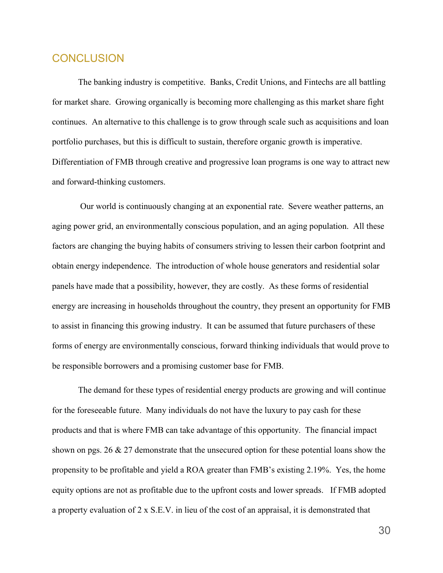# **CONCLUSION**

The banking industry is competitive. Banks, Credit Unions, and Fintechs are all battling for market share. Growing organically is becoming more challenging as this market share fight continues. An alternative to this challenge is to grow through scale such as acquisitions and loan portfolio purchases, but this is difficult to sustain, therefore organic growth is imperative. Differentiation of FMB through creative and progressive loan programs is one way to attract new and forward-thinking customers.

Our world is continuously changing at an exponential rate. Severe weather patterns, an aging power grid, an environmentally conscious population, and an aging population. All these factors are changing the buying habits of consumers striving to lessen their carbon footprint and obtain energy independence. The introduction of whole house generators and residential solar panels have made that a possibility, however, they are costly. As these forms of residential energy are increasing in households throughout the country, they present an opportunity for FMB to assist in financing this growing industry. It can be assumed that future purchasers of these forms of energy are environmentally conscious, forward thinking individuals that would prove to be responsible borrowers and a promising customer base for FMB.

The demand for these types of residential energy products are growing and will continue for the foreseeable future. Many individuals do not have the luxury to pay cash for these products and that is where FMB can take advantage of this opportunity. The financial impact shown on pgs. 26 & 27 demonstrate that the unsecured option for these potential loans show the propensity to be profitable and yield a ROA greater than FMB's existing 2.19%. Yes, the home equity options are not as profitable due to the upfront costs and lower spreads. If FMB adopted a property evaluation of 2 x S.E.V. in lieu of the cost of an appraisal, it is demonstrated that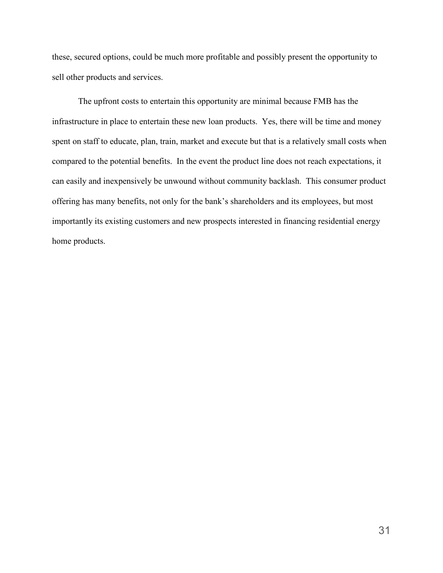these, secured options, could be much more profitable and possibly present the opportunity to sell other products and services.

The upfront costs to entertain this opportunity are minimal because FMB has the infrastructure in place to entertain these new loan products. Yes, there will be time and money spent on staff to educate, plan, train, market and execute but that is a relatively small costs when compared to the potential benefits. In the event the product line does not reach expectations, it can easily and inexpensively be unwound without community backlash. This consumer product offering has many benefits, not only for the bank's shareholders and its employees, but most importantly its existing customers and new prospects interested in financing residential energy home products.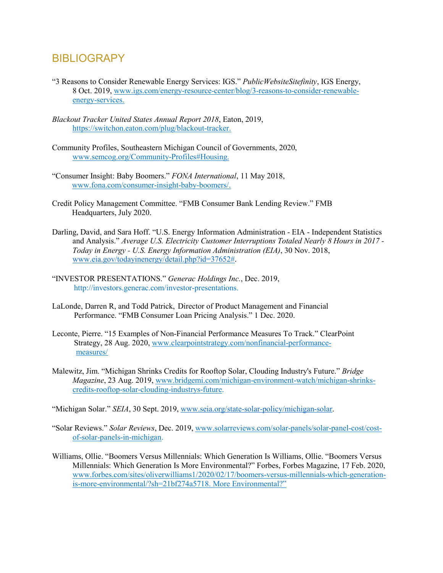# **BIBLIOGRAPY**

- "3 Reasons to Consider Renewable Energy Services: IGS." *PublicWebsiteSitefinity*, IGS Energy, 8 Oct. 2019, [www.igs.com/energy-resource-center/blog/3-reasons-to-consider-renewable](http://www.igs.com/energy-resource-center/blog/3-reasons-to-consider-renewable-%20%20%20%20%20%20%20%20%20%20%20%20%20%20energy-services.)[energy-services.](http://www.igs.com/energy-resource-center/blog/3-reasons-to-consider-renewable-%20%20%20%20%20%20%20%20%20%20%20%20%20%20energy-services.)
- *Blackout Tracker United States Annual Report 2018*, Eaton, 2019, https://switchon.eaton.com/plug/blackout-tracker.
- Community Profiles, Southeastern Michigan Council of Governments, 2020, www.semcog.org/Community-Profiles#Housing.
- "Consumer Insight: Baby Boomers." *FONA International*, 11 May 2018, [www.fona.com/consumer-insight-baby-boomers/.](http://www.fona.com/consumer-insight-baby-boomers/)
- Credit Policy Management Committee. "FMB Consumer Bank Lending Review." FMB Headquarters, July 2020.
- Darling, David, and Sara Hoff. "U.S. Energy Information Administration EIA Independent Statistics and Analysis." *Average U.S. Electricity Customer Interruptions Totaled Nearly 8 Hours in 2017 - Today in Energy - U.S. Energy Information Administration (EIA)*, 30 Nov. 2018, [www.eia.gov/todayinenergy/detail.php?id=37652#.](http://www.eia.gov/todayinenergy/detail.php?id=37652)
- "INVESTOR PRESENTATIONS." *Generac Holdings Inc.*, Dec. 2019, http://investors.generac.com/investor-presentations.
- LaLonde, Darren R, and Todd Patrick, Director of Product Management and Financial Performance. "FMB Consumer Loan Pricing Analysis." 1 Dec. 2020.
- Leconte, Pierre. "15 Examples of Non-Financial Performance Measures To Track." ClearPoint Strategy, 28 Aug. 2020, [www.clearpointstrategy.com/nonfinancial-performance](http://www.clearpointstrategy.com/nonfinancial-performance-) measures/
- Malewitz, Jim. "Michigan Shrinks Credits for Rooftop Solar, Clouding Industry's Future." *Bridge Magazine*, 23 Aug. 2019, [www.bridgemi.com/michigan-environment-watch/michigan-shrinks](http://www.bridgemi.com/michigan-environment-watch/michigan-shrinks-credits-rooftop-solar-clouding-industrys-future)[credits-rooftop-solar-clouding-industrys-future.](http://www.bridgemi.com/michigan-environment-watch/michigan-shrinks-credits-rooftop-solar-clouding-industrys-future)

"Michigan Solar." *SEIA*, 30 Sept. 2019, [www.seia.org/state-solar-policy/michigan-solar.](http://www.seia.org/state-solar-policy/michigan-solar)

- "Solar Reviews." *Solar Reviews*, Dec. 2019, [www.solarreviews.com/solar-panels/solar-panel-cost/cost](http://www.solarreviews.com/solar-panels/solar-panel-cost/cost-of-solar-panels-in-michigan)[of-solar-panels-in-michigan.](http://www.solarreviews.com/solar-panels/solar-panel-cost/cost-of-solar-panels-in-michigan)
- Williams, Ollie. "Boomers Versus Millennials: Which Generation Is Williams, Ollie. "Boomers Versus Millennials: Which Generation Is More Environmental?" Forbes, Forbes Magazine, 17 Feb. 2020, www.forbes.com/sites/oliverwilliams1/2020/02/17/boomers-versus-millennials-which-generationis-more-environmental/?sh=21bf274a5718. More Environmental?"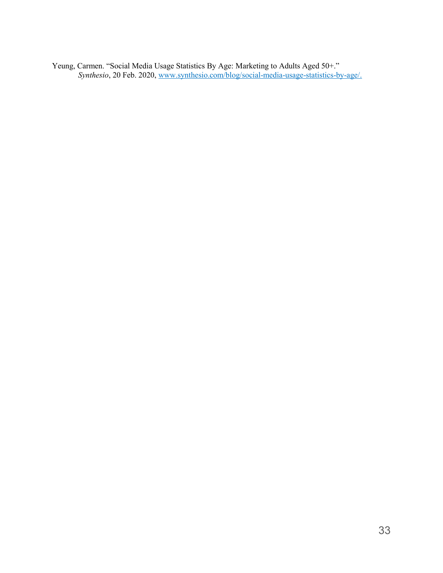Yeung, Carmen. "Social Media Usage Statistics By Age: Marketing to Adults Aged 50+." *Synthesio*, 20 Feb. 2020, www.synthesio.com/blog/social-media-usage-statistics-by-age/.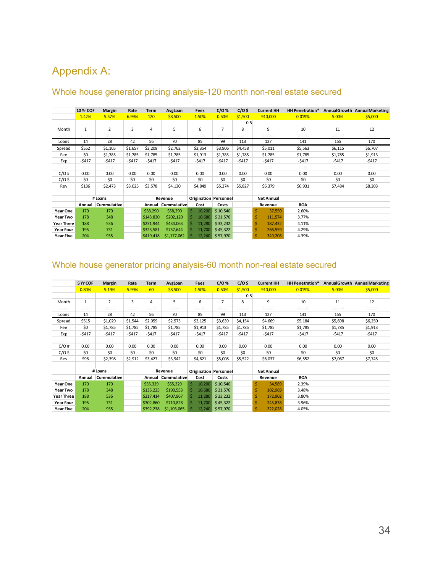# Appendix A:

|                   | 10 Yr COF    | Margin      | Rate    | Term       | AvgLoan            | Fees                         | $C/O$ %        | $C/O$ \$          | <b>Current HH</b> | HH Penetration* |         | AnnualGrowth AnnualMarketing |
|-------------------|--------------|-------------|---------|------------|--------------------|------------------------------|----------------|-------------------|-------------------|-----------------|---------|------------------------------|
|                   | 1.42%        | 5.57%       | 6.99%   | <b>120</b> | \$8,500            | 1.50%                        | 0.50%          | \$1,500           | 910,000           | 0.019%          | 5.00%   | \$5,000                      |
|                   |              |             |         |            |                    |                              |                | 0.5               |                   |                 |         |                              |
| Month             | $\mathbf{1}$ | 2           | 3       | 4          | 5                  | 6                            | $\overline{7}$ | 8                 | 9                 | 10              | 11      | 12                           |
| oans              |              |             |         |            |                    |                              | 00.27          |                   |                   |                 |         |                              |
| Loans             | 14           | 28          | 42      | 56         | 70                 | 85                           | 99             | 113               | 127               | 141             | 155     | 170                          |
| Spread            | \$552        | \$1,105     | \$1,657 | \$2,209    | \$2,762            | \$3,354                      | \$3,906        | \$4,458           | \$5,011           | \$5,563         | \$6,115 | \$6,707                      |
| Fee               | \$0          | \$1,785     | \$1,785 | \$1,785    | \$1,785            | \$1,913                      | \$1,785        | \$1,785           | \$1,785           | \$1,785         | \$1,785 | \$1,913                      |
| Exp               | $-5417$      | $-5417$     | $-5417$ | $-5417$    | $-5417$            | -\$417                       | $-5417$        | -\$417            | $-5417$           | $-5417$         | $-5417$ | $-5417$                      |
| C/O               | 0.01         | 0.01        | 0.02    | 0.02       | 0.03               | 0.04                         | 0.04           | 0.05              | 0.05              | 0.06            | 0.06    | 0.07                         |
| C/O#              | 0.00         | 0.00        | 0.00    | 0.00       | 0.00               | 0.00                         | 0.00           | 0.00              | 0.00              | 0.00            | 0.00    | 0.00                         |
| $C/O$ \$          | \$0          | \$0         | \$0     | \$0        | \$0                | \$0                          | \$0            | \$0               | \$0               | \$0             | \$0     | \$0                          |
| Rev               | \$136        | \$2,473     | \$3,025 | \$3,578    | \$4,130            | \$4,849                      | \$5,274        | \$5,827           | \$6,379           | \$6,931         | \$7,484 | \$8,203                      |
|                   |              |             |         |            |                    |                              |                |                   |                   |                 |         |                              |
|                   |              | # Loans     |         |            | Revenue            | <b>Origination Personnel</b> |                | <b>Net Annual</b> |                   |                 |         |                              |
|                   | Annual       | Cummulative |         |            | Annual Cummulative | Cost                         | Costs          |                   | Revenue           | <b>ROA</b>      |         |                              |
| Year One          | 170          | 170         |         | \$58,290   | \$58,290           | 10,200                       | \$10,540       |                   | 37,550            | 2.60%           |         |                              |
| Year Two          | 178          | 348         |         | \$143,830  | \$202,120          | 10,680                       | \$21,576       |                   | 111,574           | 3.77%           |         |                              |
| <b>Year Three</b> | 188          | 536         |         | \$231,944  | \$434,063          | 11,280                       | \$33,232       |                   | 187,432           | 4.11%           |         |                              |
| <b>Year Four</b>  | 195          | 731         |         | \$323,581  | \$757,644          | 11,700                       | \$45,322       |                   | 266,559           | 4.29%           |         |                              |
| <b>Year Five</b>  | 204          | 935         |         | \$419,418  | \$1,177,062        | 12,240                       | \$57,970       |                   | 349,208           | 4.39%           |         |                              |

# Whole house generator pricing analysis-120 month non-real estate secured

# Whole house generator pricing analysis-60 month non-real estate secured

|                   | 5 Yr COF     | Margin         | Rate    | <b>Term</b> | AvgLoan     | <b>Fees</b> | $C/O$ %                      | $C/O$ \$ | <b>Current HH</b> | <b>HH Penetration*</b> |         | AnnualGrowth AnnualMarketing |
|-------------------|--------------|----------------|---------|-------------|-------------|-------------|------------------------------|----------|-------------------|------------------------|---------|------------------------------|
|                   | 0.80%        | 5.19%          | 5.99%   | 60          | \$8,500     | 1.50%       | 0.50%                        | \$1,500  | 910,000           | 0.019%                 | 5.00%   | \$5,000                      |
|                   |              |                |         |             |             |             |                              | 0.5      |                   |                        |         |                              |
| Month             | $\mathbf{1}$ | $\overline{2}$ | 3       | 4           | 5           | 6           | 7                            | 8        | 9                 | 10                     | 11      | 12                           |
| .oans             | 1/1.18       |                |         |             | $70$ or     | 9500        | 00.27                        |          |                   | 41.81                  | 155.99  | 70.1                         |
| Loans             | 14           | 28             | 42      | 56          | 70          | 85          | 99                           | 113      | 127               | 141                    | 155     | 170                          |
| Spread            | \$515        | \$1,029        | \$1,544 | \$2,059     | \$2,573     | \$3,125     | \$3,639                      | \$4,154  | \$4,669           | \$5,184                | \$5,698 | \$6,250                      |
| Fee               | \$0          | \$1,785        | \$1,785 | \$1,785     | \$1,785     | \$1,913     | \$1,785                      | \$1,785  | \$1,785           | \$1,785                | \$1,785 | \$1,913                      |
| Exp               | $-5417$      | $-5417$        | $-5417$ | $-5417$     | $-5417$     | $-5417$     | $-5417$                      | $-5417$  | $-5417$           | $-5417$                | -\$417  | $-5417$                      |
| C/O               | 0.01         | 0.01           | 0.02    | 0.02        | 0.03        | 0.04        | 0.04                         | 0.05     | 0.05              | 0.06                   | 0.06    | 0.07                         |
| C/O#              | 0.00         | 0.00           | 0.00    | 0.00        | 0.00        | 0.00        | 0.00                         | 0.00     | 0.00              | 0.00                   | 0.00    | 0.00                         |
| $C/O$ \$          | \$0          | \$0            | \$0     | \$0         | \$0         | \$0         | \$0                          | \$0      | \$0               | \$0                    | \$0     | \$0                          |
| Rev               | \$98         | \$2,398        | \$2,912 | \$3,427     | \$3,942     | \$4,621     | \$5,008                      | \$5,522  | \$6,037           | \$6,552                | \$7,067 | \$7,745                      |
|                   |              |                |         |             |             |             |                              |          |                   |                        |         |                              |
|                   |              | # Loans        |         |             | Revenue     |             | <b>Origination Personnel</b> |          | <b>Net Annual</b> |                        |         |                              |
|                   | Annual       | Cummulative    |         | Annual      | Cummulative | Cost        | Costs                        |          | Revenue           | <b>ROA</b>             |         |                              |
| Year One          | 170          | 170            |         | \$55,329    | \$55,329    | 10,200      | \$10,540                     |          | Ś<br>34,589       | 2.39%                  |         |                              |
| Year Two          | 178          | 348            |         | \$135,225   | \$190,553   | 10,680      | \$21,576                     |          | Ś<br>102,969      | 3.48%                  |         |                              |
| <b>Year Three</b> | 188          | 536            |         | \$217,414   | \$407,967   | 11,280      | \$33,232                     |          | Ś<br>172,902      | 3.80%                  |         |                              |
| <b>Year Four</b>  | 195          | 731            |         | \$302,860   | \$710,828   | 11,700      | \$45,322                     |          | 245,838           | 3.96%                  |         |                              |
| Year Five         | 204          | 935            |         | \$392,238   | \$1,103,065 | 12,240      | \$57,970                     |          | 322,028           | 4.05%                  |         |                              |